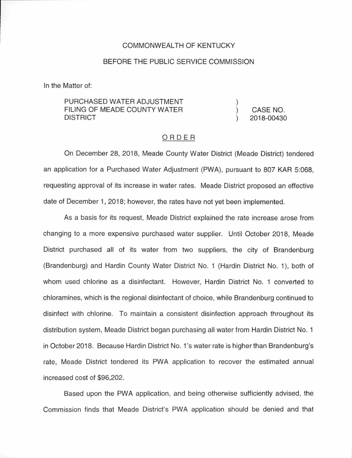## COMMONWEALTH OF KENTUCKY

## BEFORE THE PUBLIC SERVICE COMMISSION

In the Matter of:

## PURCHASED WATER ADJUSTMENT FILING OF MEADE COUNTY WATER DISTRICT

) CASE NO. ) 2018-00430

)

## ORDER

On December 28, 2018, Meade County Water District (Meade District) tendered an application for a Purchased Water Adjustment (PWA), pursuant to 807 KAR 5:068, requesting approval of its increase in water rates. Meade District proposed an effective date of December 1, 2018; however, the rates have not yet been implemented.

As a basis for its request, Meade District explained the rate increase arose from changing to a more expensive purchased water supplier. Until October 2018, Meade District purchased all of its water from two suppliers, the city of Brandenburg (Brandenburg) and Hardin County Water District No. 1 (Hardin District No. 1 ), both of whom used chlorine as a disinfectant. However, Hardin District No. 1 converted to chloramines, which is the regional disinfectant of choice, while Brandenburg continued to disinfect with chlorine. To maintain a consistent disinfection approach throughout its distribution system, Meade District began purchasing all water from Hardin District No. 1 in October 2018. Because Hardin District No. 1 's water rate is higher than Brandenburg's rate, Meade District tendered its PWA application to recover the estimated annual increased cost of \$96,202.

Based upon the PWA application, and being otherwise sufficiently advised, the Commission finds that Meade District's PWA application should be denied and that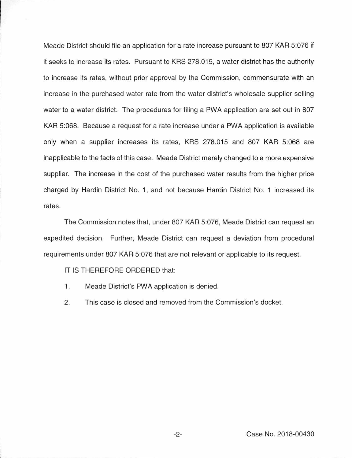Meade District should file an application for a rate increase pursuant to 807 KAR 5:076 if it seeks to increase its rates. Pursuant to KRS 278.015, a water district has the authority to increase its rates, without prior approval by the Commission, commensurate with an increase in the purchased water rate from the water district's wholesale supplier selling water to a water district. The procedures for filing a PWA application are set out in 807 KAR 5:068. Because a request for a rate increase under a PWA application is available only when a supplier increases its rates, KRS 278.015 and 807 KAR 5:068 are inapplicable to the facts of this case. Meade District merely changed to a more expensive supplier. The increase in the cost of the purchased water results from the higher price charged by Hardin District No. 1, and not because Hardin District No. 1 increased its rates.

The Commission notes that, under 807 KAR 5:076, Meade District can request an expedited decision. Further, Meade District can request a deviation from procedural requirements under 807 KAR 5:076 that are not relevant or applicable to its request.

IT IS THEREFORE ORDERED that:

- 1. Meade District's PWA application is denied.
- 2. This case is closed and removed from the Commission's docket.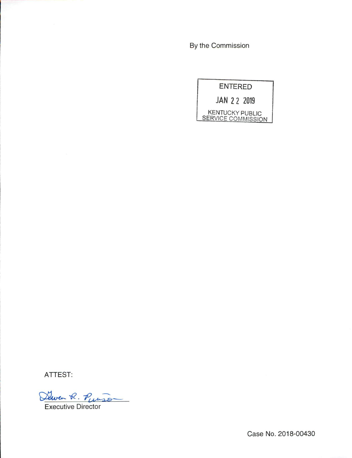By the Commission



ATTEST:

Steven R. Punson

Executive Director

Case No. 2018-00430